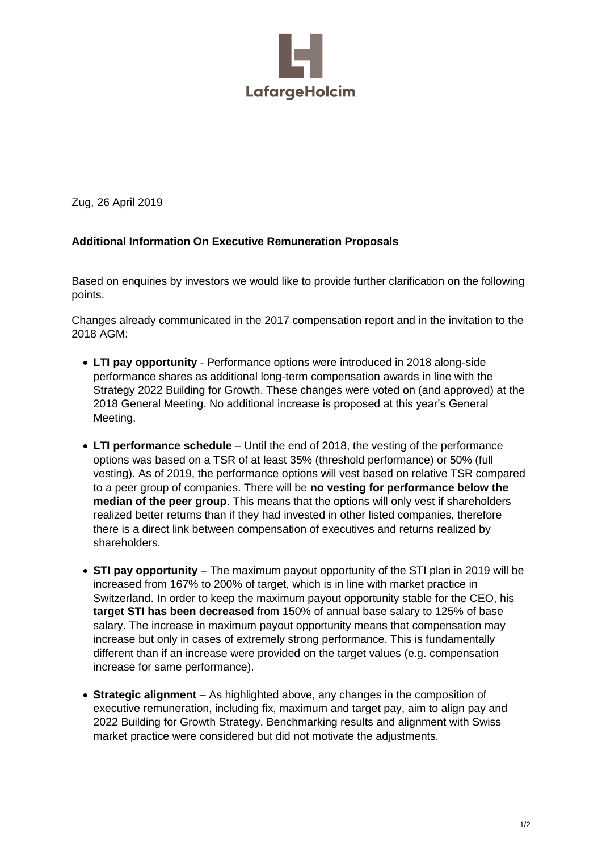

Zug, 26 April 2019

## **Additional Information On Executive Remuneration Proposals**

Based on enquiries by investors we would like to provide further clarification on the following points.

Changes already communicated in the 2017 compensation report and in the invitation to the 2018 AGM:

- **LTI pay opportunity** Performance options were introduced in 2018 along-side performance shares as additional long-term compensation awards in line with the Strategy 2022 Building for Growth. These changes were voted on (and approved) at the 2018 General Meeting. No additional increase is proposed at this year's General Meeting.
- **LTI performance schedule**  Until the end of 2018, the vesting of the performance options was based on a TSR of at least 35% (threshold performance) or 50% (full vesting). As of 2019, the performance options will vest based on relative TSR compared to a peer group of companies. There will be **no vesting for performance below the median of the peer group**. This means that the options will only vest if shareholders realized better returns than if they had invested in other listed companies, therefore there is a direct link between compensation of executives and returns realized by shareholders.
- **STI pay opportunity** The maximum payout opportunity of the STI plan in 2019 will be increased from 167% to 200% of target, which is in line with market practice in Switzerland. In order to keep the maximum payout opportunity stable for the CEO, his **target STI has been decreased** from 150% of annual base salary to 125% of base salary. The increase in maximum payout opportunity means that compensation may increase but only in cases of extremely strong performance. This is fundamentally different than if an increase were provided on the target values (e.g. compensation increase for same performance).
- **Strategic alignment**  As highlighted above, any changes in the composition of executive remuneration, including fix, maximum and target pay, aim to align pay and 2022 Building for Growth Strategy. Benchmarking results and alignment with Swiss market practice were considered but did not motivate the adjustments.